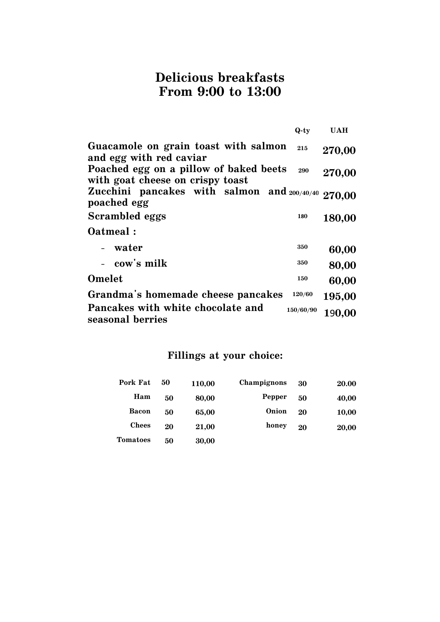#### **Delicious breakfasts From 9:00 to 13:00**

|                                                                            | $Q$ -ty   | <b>UAH</b> |
|----------------------------------------------------------------------------|-----------|------------|
| Guacamole on grain toast with salmon<br>and egg with red caviar            | 215       | 270,00     |
| Poached egg on a pillow of baked beets<br>with goat cheese on crispy toast | 290       | 270,00     |
| Zucchini pancakes with salmon and 200/40/40 270,00<br>poached egg          |           |            |
| <b>Scrambled eggs</b>                                                      | 180       | 180,00     |
| Oatmeal:                                                                   |           |            |
| - water                                                                    | 350       | 60,00      |
| - cow's milk                                                               | 350       | 80,00      |
| Omelet                                                                     | 150       | 60,00      |
| Grandma's homemade cheese pancakes                                         | 120/60    | 195,00     |
| Pancakes with white chocolate and<br>seasonal berries                      | 150/60/90 | 190,00     |

### Fillings at your choice:

| Pork Fat        | 50 | 110,00 | Champignons | 30 | 20.00 |
|-----------------|----|--------|-------------|----|-------|
| Ham             | 50 | 80,00  | Pepper      | 50 | 40,00 |
| <b>Bacon</b>    | 50 | 65,00  | Onion       | 20 | 10,00 |
| <b>Chees</b>    | 20 | 21,00  | honey       | 20 | 20,00 |
| <b>Tomatoes</b> | 50 | 30,00  |             |    |       |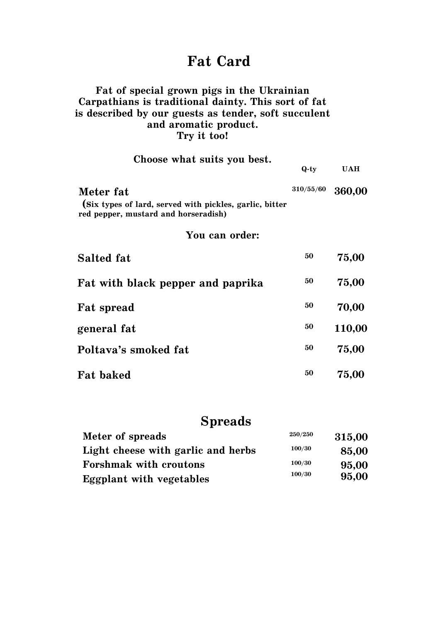## Fat Card

#### Fat of special grown pigs in the Ukrainian Carpathians is traditional dainty. This sort of fat is described by our guests as tender, soft succulent and aromatic product. Try it too!

#### Choose what suits you best.

| Choose what sures you best.                                                                     | $Q$ -ty   | <b>UAH</b> |
|-------------------------------------------------------------------------------------------------|-----------|------------|
| Meter fat                                                                                       | 310/55/60 | 360,00     |
| (Six types of lard, served with pickles, garlic, bitter<br>red pepper, mustard and horseradish) |           |            |
| You can order:                                                                                  |           |            |
| <b>Salted fat</b>                                                                               | 50        | 75,00      |
| Fat with black pepper and paprika                                                               | 50        | 75,00      |
| <b>Fat spread</b>                                                                               | 50        | 70,00      |
| general fat                                                                                     | 50        | 110,00     |
| Poltava's smoked fat                                                                            | 50        | 75,00      |
| <b>Fat baked</b>                                                                                | 50        | 75,00      |

### **Spreads**

| Meter of spreads                   | 250/250 | 315,00 |
|------------------------------------|---------|--------|
| Light cheese with garlic and herbs | 100/30  | 85,00  |
| <b>Forshmak with croutons</b>      | 100/30  | 95,00  |
| <b>Eggplant with vegetables</b>    | 100/30  | 95,00  |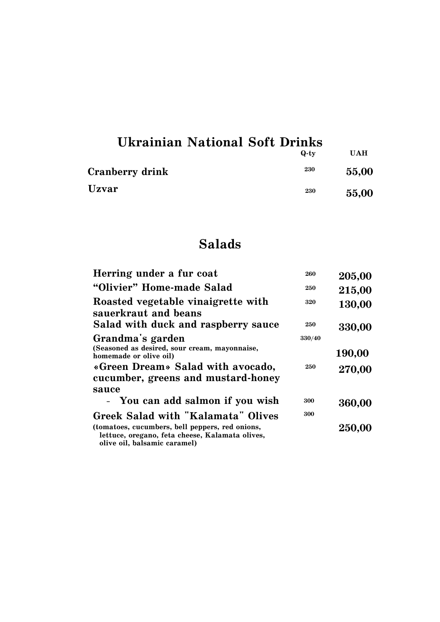| <b>Ukrainian National Soft Drinks</b> |         |            |
|---------------------------------------|---------|------------|
|                                       | $Q$ -tv | <b>UAH</b> |
| <b>Cranberry drink</b>                | 230     | 55,00      |
| Uzvar                                 | 230     | 55,00      |

## **Salads**

| Herring under a fur coat                                                                                                           | 260        | 205,00 |
|------------------------------------------------------------------------------------------------------------------------------------|------------|--------|
| "Olivier" Home-made Salad                                                                                                          | 250        | 215,00 |
| Roasted vegetable vinaigrette with<br>sauerkraut and beans<br>Salad with duck and raspberry sauce                                  | 320<br>250 | 130,00 |
| Grandma's garden                                                                                                                   | 330/40     | 330,00 |
| (Seasoned as desired, sour cream, mayonnaise,<br>homemade or olive oil)                                                            |            | 190,00 |
| «Green Dream» Salad with avocado,<br>cucumber, greens and mustard-honey<br>sauce                                                   | 250        | 270,00 |
| - You can add salmon if you wish                                                                                                   | 300        | 360,00 |
| <b>Greek Salad with "Kalamata" Olives</b>                                                                                          | 300        |        |
| (tomatoes, cucumbers, bell peppers, red onions,<br>lettuce, oregano, feta cheese, Kalamata olives,<br>olive oil, balsamic caramel) |            | 250,00 |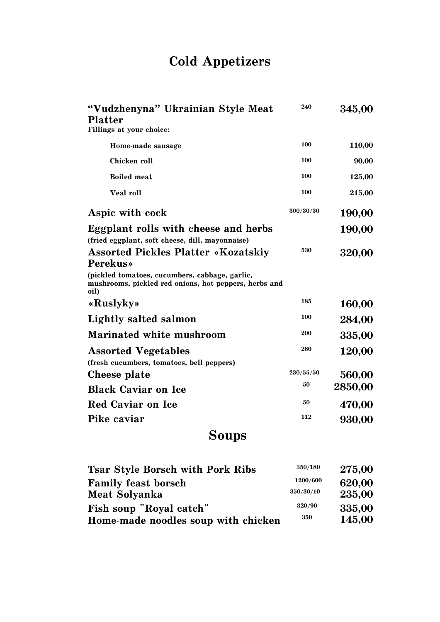# **Cold Appetizers**

| "Vudzhenyna" Ukrainian Style Meat<br><b>Platter</b>                                                             | 240       | 345,00  |
|-----------------------------------------------------------------------------------------------------------------|-----------|---------|
| Fillings at your choice:                                                                                        |           |         |
| Home-made sausage                                                                                               | 100       | 110,00  |
| Chicken roll                                                                                                    | 100       | 90,00   |
| <b>Boiled</b> meat                                                                                              | 100       | 125,00  |
| Veal roll                                                                                                       | 100       | 215,00  |
| Aspic with cock                                                                                                 | 300/30/30 | 190,00  |
| Eggplant rolls with cheese and herbs<br>(fried eggplant, soft cheese, dill, mayonnaise)                         |           | 190,00  |
| <b>Assorted Pickles Platter «Kozatskiy</b><br><b>Perekus</b>                                                    | 530       | 320,00  |
| (pickled tomatoes, cucumbers, cabbage, garlic,<br>mushrooms, pickled red onions, hot peppers, herbs and<br>oil) |           |         |
| «Ruslyky»                                                                                                       | 185       | 160,00  |
| Lightly salted salmon                                                                                           | 100       | 284,00  |
| <b>Marinated white mushroom</b>                                                                                 | 200       | 335,00  |
| <b>Assorted Vegetables</b><br>(fresh cucumbers, tomatoes, bell peppers)                                         | 260       | 120,00  |
| Cheese plate                                                                                                    | 230/55/50 | 560,00  |
| <b>Black Caviar on Ice</b>                                                                                      | 50        | 2850,00 |
| Red Caviar on Ice                                                                                               | 50        | 470,00  |
| Pike caviar                                                                                                     | 112       | 930,00  |
| Soups                                                                                                           |           |         |

| <b>Tsar Style Borsch with Pork Ribs</b> | 350/180   | 275,00 |
|-----------------------------------------|-----------|--------|
| <b>Family feast borsch</b>              | 1200/600  | 620,00 |
| Meat Solyanka                           | 350/30/10 | 235,00 |
| Fish soup "Royal catch"                 | 320/90    | 335,00 |
| Home-made noodles soup with chicken     | 350       | 145,00 |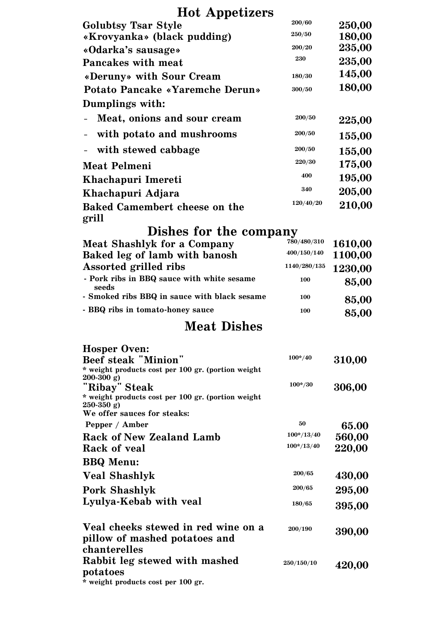## **Hot Appetizers**

| 1100 Appensers                                                      |                  |                  |
|---------------------------------------------------------------------|------------------|------------------|
| <b>Golubtsy Tsar Style</b>                                          | 200/60<br>250/50 | 250,00           |
| «Krovyanka» (black pudding)                                         | <b>200/20</b>    | 180,00<br>235,00 |
| «Odarka's sausage»                                                  | 230              | 235,00           |
| <b>Pancakes with meat</b>                                           |                  | 145,00           |
| «Deruny» with Sour Cream                                            | 180/30           |                  |
| <b>Potato Pancake «Yaremche Derun»</b>                              | 300/50           | 180,00           |
| Dumplings with:                                                     |                  |                  |
| Meat, onions and sour cream                                         | 200/50           | 225,00           |
| with potato and mushrooms                                           | 200/50           | 155,00           |
| with stewed cabbage                                                 | 200/50           | 155,00           |
| <b>Meat Pelmeni</b>                                                 | $220/30\,$       | 175,00           |
| Khachapuri Imereti                                                  | 400              | 195,00           |
| Khachapuri Adjara                                                   | 340              | 205,00           |
| <b>Baked Camembert cheese on the</b>                                | 120/40/20        | 210,00           |
| grill                                                               |                  |                  |
| Dishes for the company                                              |                  |                  |
| <b>Meat Shashlyk for a Company</b>                                  | 780/480/310      | 1610,00          |
| Baked leg of lamb with banosh                                       | 400/150/140      | 1100,00          |
| <b>Assorted grilled ribs</b>                                        | 1140/280/135     | 1230,00          |
| - Pork ribs in BBQ sauce with white sesame<br>seeds                 | 100              | 85,00            |
| - Smoked ribs BBQ in sauce with black sesame                        | 100              | 85,00            |
| - BBQ ribs in tomato-honey sauce                                    | 100              | 85,00            |
| <b>Meat Dishes</b>                                                  |                  |                  |
|                                                                     |                  |                  |
| <b>Hosper Oven:</b><br><b>Beef steak "Minion"</b>                   | $100*/40$        | 310,00           |
| * weight products cost per 100 gr. (portion weight                  |                  |                  |
| $200-300$ g)                                                        | $100*/30$        |                  |
| "Ribay" Steak<br>* weight products cost per 100 gr. (portion weight |                  | 306,00           |
| $250-350$ g)                                                        |                  |                  |
| We offer sauces for steaks:                                         | 50               |                  |
| Pepper / Amber<br><b>Rack of New Zealand Lamb</b>                   | $100*/13/40$     | 65.00            |
| Rack of yeal                                                        | $100*/13/40$     | 560,00<br>220,00 |
| <b>BBQ</b> Menu:                                                    |                  |                  |
| <b>Veal Shashlyk</b>                                                | 200/65           | 430,00           |
| <b>Pork Shashlyk</b>                                                | 200/65           | 295,00           |
| Lyulya-Kebab with veal                                              |                  |                  |
|                                                                     | 180/65           | 395,00           |
| Veal cheeks stewed in red wine on a                                 | 200/190          |                  |
| pillow of mashed potatoes and                                       |                  | 390,00           |
| chanterelles                                                        |                  |                  |
| Rabbit leg stewed with mashed                                       | 250/150/10       | 420,00           |
| potatoes                                                            |                  |                  |
| * weight products cost per 100 gr.                                  |                  |                  |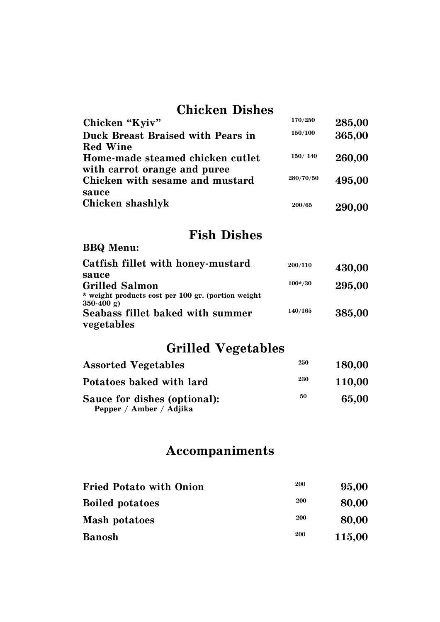### **Chicken Dishes**

| Chicken "Kyiv"                    | 170/250   | 285,00 |
|-----------------------------------|-----------|--------|
| Duck Breast Braised with Pears in | 150/100   | 365,00 |
| <b>Red Wine</b>                   |           |        |
| Home-made steamed chicken cutlet  | 150/140   | 260,00 |
| with carrot orange and puree      |           |        |
| Chicken with sesame and mustard   | 280/70/50 | 495,00 |
| sauce                             |           |        |
| Chicken shashlyk                  | 200/65    | 290,00 |
|                                   |           |        |

## **Fish Dishes**

#### **BBQ Menu:**

| Catfish fillet with honey-mustard                  | 200/110   | 430,00 |
|----------------------------------------------------|-----------|--------|
| sauce                                              |           |        |
| <b>Grilled Salmon</b>                              | $100*/30$ | 295,00 |
| * weight products cost per 100 gr. (portion weight |           |        |
| $350-400 \text{ g}$                                |           |        |
| Seabass fillet baked with summer                   | 140/165   | 385,00 |
| vegetables                                         |           |        |

## **Grilled Vegetables**

| <b>Assorted Vegetables</b>                              | 250 | <b>180,00</b> |
|---------------------------------------------------------|-----|---------------|
| Potatoes baked with lard                                | 230 | <b>110.00</b> |
| Sauce for dishes (optional):<br>Pepper / Amber / Adjika | 50  | 65,00         |

## **Accompaniments**

| <b>Fried Potato with Onion</b> | 200        | 95,00  |
|--------------------------------|------------|--------|
| <b>Boiled potatoes</b>         | <b>200</b> | 80,00  |
| Mash potatoes                  | 200        | 80,00  |
| <b>Banosh</b>                  | 200        | 115,00 |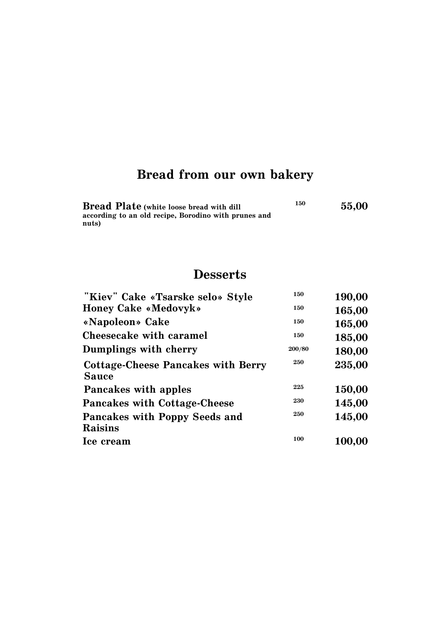# **Bread from our own bakery**

| <b>Bread Plate</b> (white loose bread with dill      | 150 | 55.00 |
|------------------------------------------------------|-----|-------|
| according to an old recipe, Borodino with prunes and |     |       |
| nuts)                                                |     |       |

## **Desserts**

| "Kiev" Cake «Tsarske selo» Style          | 150    | 190,00 |
|-------------------------------------------|--------|--------|
| <b>Honey Cake «Medovyk»</b>               | 150    | 165,00 |
| «Napoleon» Cake                           | 150    | 165,00 |
| Cheesecake with caramel                   | 150    | 185,00 |
| Dumplings with cherry                     | 200/80 | 180,00 |
| <b>Cottage-Cheese Pancakes with Berry</b> | 250    | 235,00 |
| <b>Sauce</b>                              |        |        |
| Pancakes with apples                      | 225    | 150,00 |
| <b>Pancakes with Cottage-Cheese</b>       | 230    | 145,00 |
| Pancakes with Poppy Seeds and             | 250    | 145,00 |
| Raisins                                   |        |        |
| Ice cream                                 | 100    | 100,00 |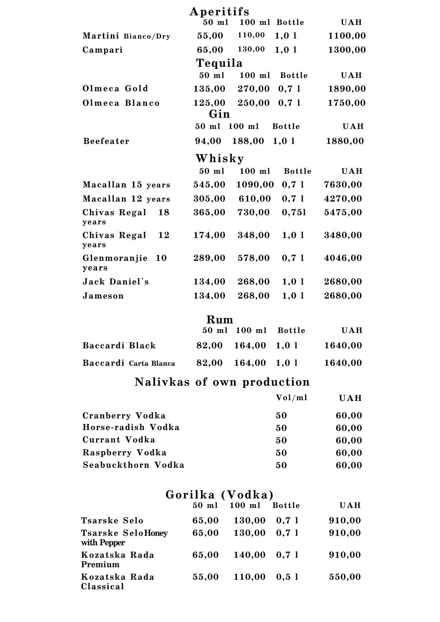|                             | Aperitifs    |               |               |            |
|-----------------------------|--------------|---------------|---------------|------------|
|                             | 50 ml        | 100 ml Bottle |               | <b>UAH</b> |
| Martini Bianco/Dry          | 55,00        | 110,00        | 1,01          | 1100,00    |
| Campari                     | 65,00        | 130,00        | 1,01          | 1300,00    |
|                             | Tequila      |               |               |            |
|                             | 50 ml        | $100$ ml      | <b>Bottle</b> | <b>UAH</b> |
| Olmeca Gold                 | 135,00       | 270,00        | 0,71          | 1890,00    |
| Olmeca Blanco               | 125,00       | 250,00        | 0,71          | 1750,00    |
|                             | Gin          |               |               |            |
|                             | 50 ml        | $100$ ml      | <b>Bottle</b> | <b>UAH</b> |
| <b>Beefeater</b>            | 94,00        | 188,00        | 1,01          | 1880,00    |
|                             | Whisky       |               |               |            |
|                             | 50 ml        | $100$ ml      | <b>Bottle</b> | <b>UAH</b> |
| Macallan 15 years           | 545,00       | 1090,00       | 0,71          | 7630,00    |
| Macallan 12 years           | 305,00       | 610,00        | 0,71          | 4270,00    |
| Chivas Regal<br>18<br>years | 365,00       | 730,00        | 0,751         | 5475,00    |
| Chivas Regal<br>12<br>years | 174,00       | 348,00        | 1,01          | 3480,00    |
| 10<br>Glenmoranjie<br>years | 289,00       | 578,00        | 0,71          | 4046,00    |
| Jack Daniel's               | 134,00       | 268,00        | 1,01          | 2680,00    |
| Jameson                     | 134,00       | 268,00        | 1,01          | 2680,00    |
|                             | $\mathbf{D}$ |               |               |            |

|                       | <b>Kum</b> | 50 ml 100 ml Bottle      | <b>UAH</b> |
|-----------------------|------------|--------------------------|------------|
| Baccardi Black        |            | $82,00$ $164,00$ $1,0$ l | 1640,00    |
| Baccardi Carta Blanca |            | $82,00$ $164,00$ $1,01$  | 1640,00    |

## Nalivkas of own production

|                    | Vol/ml | <b>UAH</b> |
|--------------------|--------|------------|
| Cranberry Vodka    | 50     | 60,00      |
| Horse-radish Vodka | 50     | 60,00      |
| Currant Vodka      | 50     | 60,00      |
| Raspberry Vodka    | 50     | 60,00      |
| Seabuckthorn Vodka | 50     | 60,00      |

|                                         | Gorilka (Vodka) |              |               |            |
|-----------------------------------------|-----------------|--------------|---------------|------------|
|                                         |                 | 50 ml 100 ml | <b>Bottle</b> | <b>UAH</b> |
| <b>Tsarske Selo</b>                     | 65,00           | 130,00       | 0.71          | 910,00     |
| <b>Tsarske SeloHoney</b><br>with Pepper | 65,00           | 130,00       | 0,71          | 910,00     |
| Kozatska Rada<br>Premium                | 65,00           | 140,00       | 0.71          | 910,00     |
| Kozatska Rada<br>Classical              | 55,00           | 110,00       | 0.51          | 550,00     |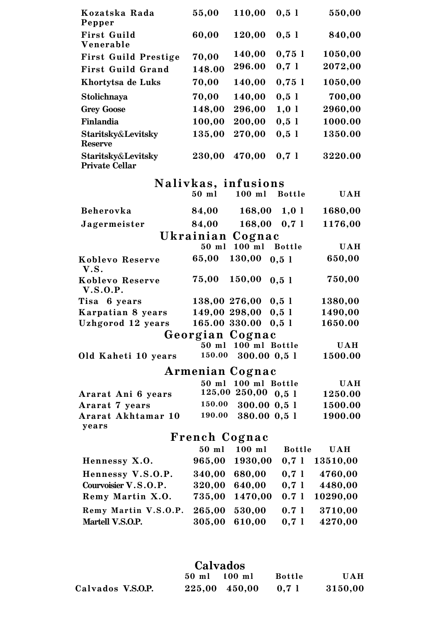| Kozatska Rada<br>Pepper                       | 55,00           | 110,00                        | 0,51          | 550,00                |
|-----------------------------------------------|-----------------|-------------------------------|---------------|-----------------------|
| <b>First Guild</b><br>Venerable               | 60,00           | 120,00                        | 0,51          | 840,00                |
| <b>First Guild Prestige</b>                   | 70,00           | 140,00                        | 0,751         | 1050,00               |
| <b>First Guild Grand</b>                      | 148.00          | 296.00                        | 0,71          | 2072,00               |
| Khortytsa de Luks                             | 70,00           | 140,00                        | 0,751         | 1050,00               |
| Stolichnaya                                   | 70,00           | 140,00                        | 0,51          | 700,00                |
| <b>Grey Goose</b>                             | 148,00          | 296,00                        | 1,01          | 2960,00               |
| Finlandia                                     | 100,00          | 200,00                        | 0,51          | 1000.00               |
| Staritsky&Levitsky<br><b>Reserve</b>          | 135,00          | 270,00                        | 0,51          | 1350.00               |
| Staritsky&Levitsky<br><b>Private Cellar</b>   | 230,00          | 470,00                        | 0,71          | 3220.00               |
|                                               |                 | Nalivkas, infusions           |               |                       |
|                                               | $50$ ml         | $100$ ml                      | <b>Bottle</b> | <b>UAH</b>            |
| Beherovka                                     | 84,00           | $168,00 \quad 1,01$           |               | 1680,00               |
| Jagermeister                                  | 84,00           | $168,00$ 0,7 l                |               | 1176,00               |
|                                               |                 | Ukrainian Cognac              |               |                       |
|                                               | $50$ ml         | $100$ ml                      | <b>Bottle</b> | <b>UAH</b>            |
| Koblevo Reserve<br>V.S.                       | 65,00           | 130,00                        | 0,51          | 650,00                |
| Koblevo Reserve<br><b>V.S.O.P.</b>            | 75,00           | 150,00                        | 0,51          | 750,00                |
| Tisa 6 years                                  | 138,00 276,00   |                               | $0,5$ 1       | 1380,00               |
| Karpatian 8 years                             | 149,00 298,00   |                               | $0,5$ 1       | 1490,00               |
| Uzhgorod 12 years                             | 165.00 330.00   |                               | 0,51          | 1650.00               |
|                                               |                 | Georgian Cognac               |               |                       |
| Old Kaheti 10 years                           | 50 ml<br>150.00 | 100 ml Bottle<br>300.00 0,5 1 |               | <b>UAH</b><br>1500.00 |
|                                               |                 |                               |               |                       |
|                                               |                 | Armenian Cognac               |               |                       |
|                                               | 50 ml<br>125,00 | 100 ml Bottle<br>250,00       | 0,51          | <b>UAH</b>            |
| Ararat Ani 6 years                            | 150.00          | 300.00 0,5 1                  |               | 1250.00<br>1500.00    |
| Ararat 7 years<br>Ararat Akhtamar 10<br>years | 190.00          | 380.00 0,5 1                  |               | 1900.00               |
|                                               | French Cognac   |                               |               |                       |
|                                               | 50 ml           | $100$ ml                      | <b>Bottle</b> | <b>UAH</b>            |
| Hennessy X.O.                                 | 965,00          | 1930,00                       | 0,71          | 13510,00              |
| Hennessy V.S.O.P.                             | 340,00          | 680,00                        | 0,71          | 4760,00               |
| Courvoisier V.S.O.P.                          | 320,00          | 640,00                        | 0,71          | 4480,00               |
| Remy Martin X.O.                              | 735,00          | 1470,00                       | 0.71          | 10290,00              |
| Remy Martin V.S.O.P.                          | 265,00          | 530,00                        | 0.71          | 3710,00               |
| Martell V.S.O.P.                              | 305,00          | 610,00                        | 0,71          | 4270,00               |
|                                               |                 |                               |               |                       |

## Calvados

|                   | 50 ml | $100$ ml          | <b>Bottle</b> | <b>UAH</b> |
|-------------------|-------|-------------------|---------------|------------|
| Calvados V.S.O.P. |       | $225,00$ $450,00$ | 0,71          | 3150,00    |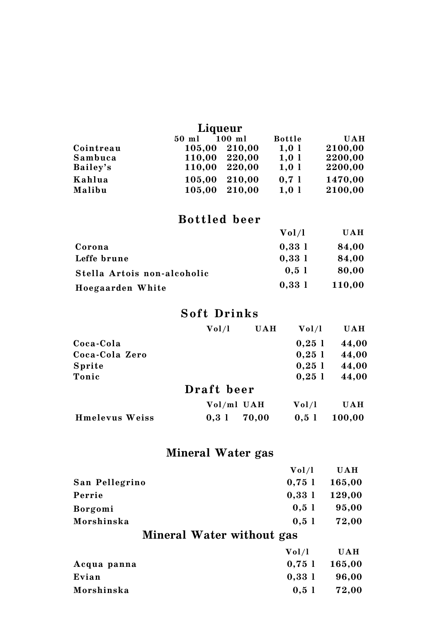|           | Liqueur |          |               |            |
|-----------|---------|----------|---------------|------------|
|           | 50 ml   | $100$ ml | <b>Bottle</b> | <b>UAH</b> |
| Cointreau | 105,00  | 210,00   | 1,01          | 2100,00    |
| Sambuca   | 110,00  | 220,00   | 1,01          | 2200,00    |
| Bailey's  | 110,00  | 220,00   | 1,01          | 2200,00    |
| Kahlua    | 105,00  | 210,00   | 0.71          | 1470,00    |
| Malibu    | 105,00  | 210,00   | 1,01          | 2100,00    |

#### Bottled beer

|                             | Vol/l | <b>UAH</b> |
|-----------------------------|-------|------------|
| Corona                      | 0.331 | 84,00      |
| Leffe brune                 | 0,331 | 84,00      |
| Stella Artois non-alcoholic | 0.51  | 80,00      |
| Hoegaarden White            | 0,331 | 110,00     |

#### Soft Drinks

|                       | Vol/l      | <b>UAH</b> | Vol/l | <b>UAH</b> |
|-----------------------|------------|------------|-------|------------|
| Coca-Cola             |            |            | 0,251 | 44,00      |
| Coca-Cola Zero        |            |            | 0,251 | 44,00      |
| Sprite                |            |            | 0,251 | 44,00      |
| Tonic                 |            |            | 0,251 | 44,00      |
|                       | Draft beer |            |       |            |
|                       | Vol/ml UAH |            | Vol/l | <b>UAH</b> |
| <b>Hmelevus Weiss</b> | 0.31       | 70,00      | 0.51  | 100,00     |

## Mineral Water gas

|                           | Vol/l | <b>UAH</b> |  |  |  |
|---------------------------|-------|------------|--|--|--|
| San Pellegrino            | 0,751 | 165,00     |  |  |  |
| Perrie                    | 0,331 | 129,00     |  |  |  |
| Borgomi                   | 0,51  | 95,00      |  |  |  |
| Morshinska                | 0,51  | 72,00      |  |  |  |
| Mineral Water without gas |       |            |  |  |  |
|                           | Vol/l | <b>UAH</b> |  |  |  |
| Acqua panna               | 0,751 | 165,00     |  |  |  |
| Evian                     | 0,331 | 96,00      |  |  |  |
| Morshinska                | 0,51  | 72,00      |  |  |  |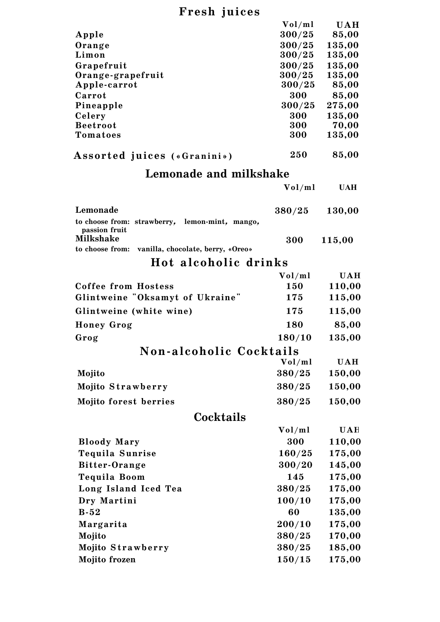## Fresh ju ices

|                                                                 | Vol/ml           | <b>UAH</b>      |
|-----------------------------------------------------------------|------------------|-----------------|
| Apple                                                           | 300/25           | 85,00           |
| Orange                                                          | 300/25           | 135,00          |
| Limon                                                           | 300/25           | 135,00          |
| Grapefruit                                                      | 300/25           | 135,00          |
| Orange-grapefruit<br>Apple-carrot                               | 300/25<br>300/25 | 135,00<br>85,00 |
| Carrot                                                          | 300              | 85,00           |
| Pineapple                                                       | 300/25           | 275,00          |
| Celery                                                          | 300              | 135,00          |
| <b>Beetroot</b>                                                 | 300              | 70,00           |
| Tomatoes                                                        | 300              | 135,00          |
| <b>Assorted juices («Granini»)</b>                              | 250              | 85,00           |
| Lemonade and milkshake                                          |                  |                 |
|                                                                 | Vol/ml           | <b>UAH</b>      |
|                                                                 |                  |                 |
| Lemonade                                                        | 380/25           | 130,00          |
| to choose from: strawberry, lemon-mint, mango,<br>passion fruit |                  |                 |
| <b>Milkshake</b>                                                | 300              | 115,00          |
| to choose from:<br>vanilla, chocolate, berry, «Oreo»            |                  |                 |
| Hot alcoholic drinks                                            |                  |                 |
|                                                                 | Vol/ml           | <b>UAH</b>      |
| <b>Coffee from Hostess</b>                                      | 150              | 110,00          |
| Glintweine "Oksamyt of Ukraine"                                 | 175              | 115,00          |
| Glintweine (white wine)                                         | 175              | 115,00          |
| <b>Honey Grog</b>                                               | 180              | 85,00           |
| Grog                                                            | 180/10           | 135,00          |
| Non-alcoholic Cocktails                                         |                  |                 |
|                                                                 | Vol/ml           | <b>UAH</b>      |
| Mojito                                                          | 380/25           | 150,00          |
| Mojito Strawberry                                               | 380/25           | 150,00          |
| <b>Mojito forest berries</b>                                    | 380/25           | 150,00          |
|                                                                 |                  |                 |
| Cocktails                                                       |                  |                 |
|                                                                 | Vol/ml           | <b>UAH</b>      |
| <b>Bloody Mary</b>                                              | 300              | 110,00          |
| Tequila Sunrise                                                 | 160/25           | 175,00          |
| Bitter-Orange                                                   | 300/20           | 145,00          |
| Tequila Boom                                                    | 145              | 175,00          |
| Long Island Iced Tea                                            | 380/25           | 175,00          |
| Dry Martini                                                     | 100/10           | 175,00          |
| $B-52$                                                          | 60               | 135,00          |
| Margarita                                                       | 200/10           | 175,00          |
| Mojito                                                          | 380/25           | 170,00          |
| Mojito Strawberry                                               | 380/25           | 185,00          |
| Mojito frozen                                                   | 150/15           | 175,00          |
|                                                                 |                  |                 |